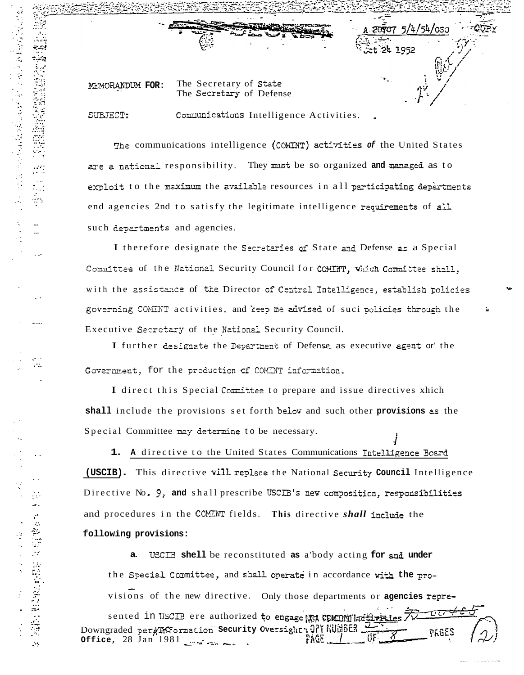MEMORANDUM FOR:

The Secretary of State The Secretary of Defense

SUBJECT:

医心包膜炎 医腹膜炎 化单位数 医眼镜性脑膜镜 医多方式 网络格兰人姓氏格拉特的变体

 $\sim 10$ 

**ALCOHOL:** 

 $\hat{\mathcal{A}}$  .

计类型字符 法管理学会

 $\mathcal{A}$ 

Communications Intelligence Activities.

 $20907$  5/4/54/0S0

24 1952

The communications intelligence (COMINT) activities of the United States are a national responsibility. They must be so organized and managed as to exploit to the maximum the available resources in all participating depertments end agencies 2nd to satisfy the legitimate intelligence requirements of all such departments and agencies.

I therefore designate the Secretaries of State and Defense as a Special Committee of the National Security Council for COMINT, which Committee shall, with the assistance of the Director of Central Intelligence, establish policies governing COMINT activities, and keep me advised of suci policies through the Executive Secretary of the National Security Council.

I further designate the Department of Defense as executive agent or the Government, for the production of COMINT information.

I direct this Special Committee to prepare and issue directives xhich shall include the provisions set forth below and such other provisions as the Special Committee may determine to be necessary.

1. A directive to the United States Communications Intelligence Board (USCIB). This directive will replace the National Security Council Intelligence Directive No. 9, and shall prescribe USCIB's new composition, responsibilities and procedures in the COMINT fields. This directive shall include the following provisions:

USCIB shell be reconstituted as a body acting for and under the Special Committee, and shall operate in accordance with the provisions of the new directive. Only those departments or agencies repre-

جمتم sented in USCIB ere authorized to engage the COMINT ladily raies / 2 Downgraded per#HOrmation security Oversight , 077 WUMSES Office,  $28$  Jan  $1981$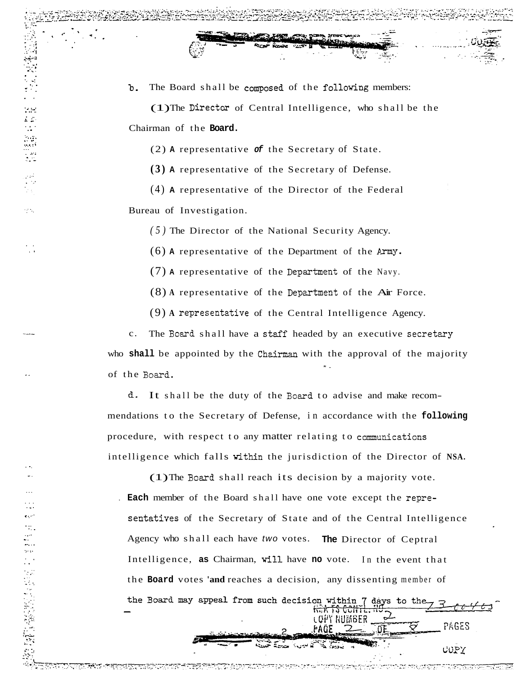(1) The Director of Central Intelligence, who shall be the Chairman of the Board.

 $(2)$  A representative of the Secretary of State.

 $(3)$  A representative of the Secretary of Defense.

 $(4)$  A representative of the Director of the Federal Bureau of Investigation.

 $(5)$  The Director of the National Security Agency.

 $(6)$  A representative of the Department of the Army.

 $(7)$  A representative of the Department of the Navy.

 $(8)$  A representative of the Department of the Air Force.

 $(9)$  A representative of the Central Intelligence Agency.

The Board shall have a staff headed by an executive secretary  $c.$ who shall be appointed by the Chairman with the approval of the majority of the Board.

d. It shall be the duty of the Board to advise and make recommendations to the Secretary of Defense, in accordance with the following procedure, with respect to any matter relating to communications intelligence which falls within the jurisdiction of the Director of NSA.

(1) The Board shall reach its decision by a majority vote. . Each member of the Board shall have one vote except the representatives of the Secretary of State and of the Central Intelligence Agency who shall each have two votes. The Director of Ceptral Intelligence, as Chairman, will have no vote. In the event that the Board votes 'and reaches a decision, any dissenting member of the Board may appeal from such decision within 7 days to the ᡰᢛᢜ᠊ᠯᡱ᠊ᢗᡉᡰᡰᡏᡶ LOPY NUMBER PAGES

COPY

ns de la composición de la composición de la composición de la composición de la composición de la composició<br>Del composición de la composición de la composición de la composición de la composición de la composición de l

eк,

 $\mathcal{L}_{\mathcal{A}}$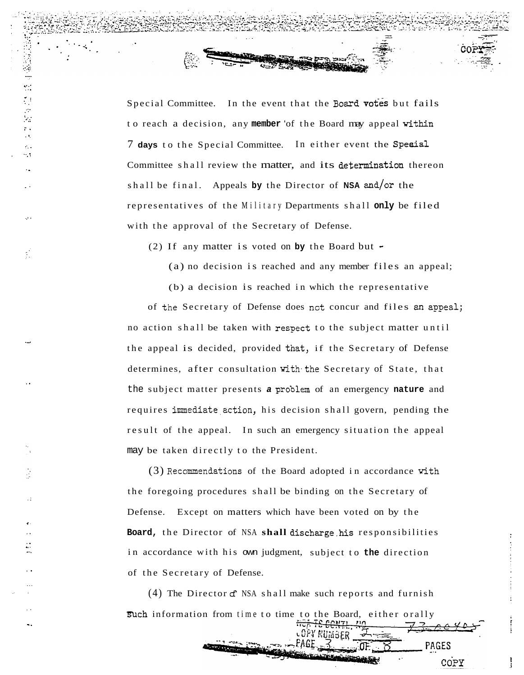Special Committee. In the event that the Board votes but fails to reach a decision, any member 'of the Board may appeal within 7 days to the Special Committee. In either event the Special Committee shall review the matter, and its determination thereon shall be final. Appeals by the Director of NSA and/or the representatives of the Military Departments shall only be filed with the approval of the Secretary of Defense.

(2) If any matter is voted on by the Board but  $\sim$ 

法婚姻 医非神经性

 $\frac{1}{2}$ 

(a) no decision is reached and any member files an appeal;

(b) a decision is reached in which the representative of the Secretary of Defense does not concur and files an appeal; no action shall be taken with respect to the subject matter until the appeal is decided, provided that, if the Secretary of Defense determines, after consultation with the Secretary of State, that the subject matter presents a problem of an emergency nature and requires immediate action, his decision shall govern, pending the result of the appeal. In such an emergency situation the appeal may be taken directly to the President.

(3) Recommendations of the Board adopted in accordance with the foregoing procedures shall be binding on the Secretary of Defense. Except on matters which have been voted on by the Board, the Director of NSA shall discharge his responsibilities in accordance with his own judgment, subject to the direction of the Secretary of Defense.

(4) The Director  $f$  NSA shall make such reports and furnish such information from time to time to the Board, either orally

<sup>oory</sup> Number

PAGES

COPY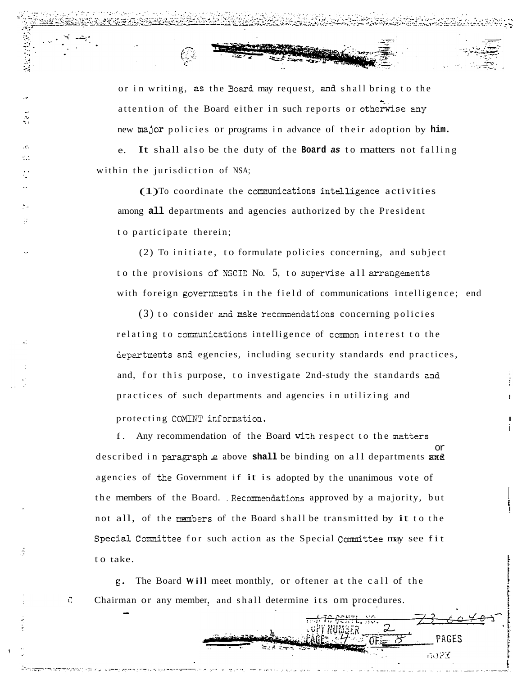or in writing, as the Board may request, and shall bring to the attention of the Board either in such reports or otherwise any new major policies or programs in advance of their adoption by him. It shall also be the duty of the Board as to matters not falling e. within the jurisdiction of NSA;

š.

 $\mathbf{r}$ 

ń

C.

 $(1)$ To coordinate the communications intelligence activities among all departments and agencies authorized by the President to participate therein;

(2) To initiate, to formulate policies concerning, and subject to the provisions of NSCID No. 5, to supervise all arrangements with foreign governments in the field of communications intelligence; end

 $(3)$  to consider and make recommendations concerning policies relating to communications intelligence of common interest to the departments and egencies, including security standards end practices, and, for this purpose, to investigate 2nd-study the standards and practices of such departments and agencies in utilizing and protecting COMINT information.

f. Any recommendation of the Board with respect to the matters described in paragraph e above shall be binding on all departments and agencies of the Government if it is adopted by the unanimous vote of the members of the Board. Recommendations approved by a majority, but not all, of the members of the Board shall be transmitted by it to the Special Committee for such action as the Special Committee may see fit to take.

PAGES

**GOPY** 

g. The Board Will meet monthly, or oftener at the call of the Chairman or any member, and shall determine its om procedures.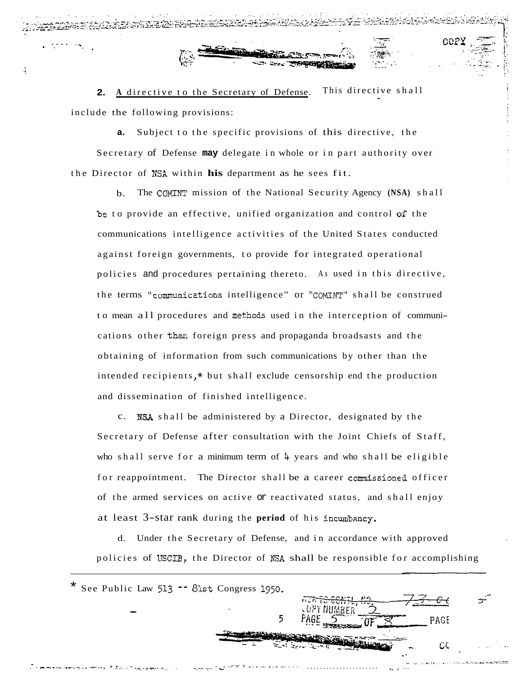This directive shall A directive to the Secretary of Defense.  $2.$ include the following provisions:

Subject to the specific provisions of this directive, the Secretary of Defense may delegate in whole or in part authority over the Director of NSA within his department as he sees fit.

The COMINT mission of the National Security Agency (NSA) shall  $\mathbf{b}$ . be to provide an effective, unified organization and control of the communications intelligence activities of the United States conducted against foreign governments, to provide for integrated operational policies and procedures pertaining thereto. As used in this directive, the terms "communications intelligence" or "COMINT" shall be construed to mean all procedures and methods used in the interception of communications other than foreign press and propaganda broadsasts and the obtaining of information from such communications by other than the intended recipients,\* but shall exclude censorship end the production and dissemination of finished intelligence.

c. NSA shall be administered by a Director, designated by the Secretary of Defense after consultation with the Joint Chiefs of Staff, who shall serve for a minimum term of  $\frac{1}{4}$  years and who shall be eligible for reappointment. The Director shall be a career commissioned officer of the armed services on active or reactivated status, and shall enjoy at least 3-star rank during the period of his incumbancy.

Under the Secretary of Defense, and in accordance with approved  $\mathbf{d}$ . policies of USCIB, the Director of NSA shall be responsible for accomplishing

\* See Public Law 513 -- 81st Congress 1950. 5 PAGI C٤ والمستنقذ فأستحص والمرادي والمرادي والمترادي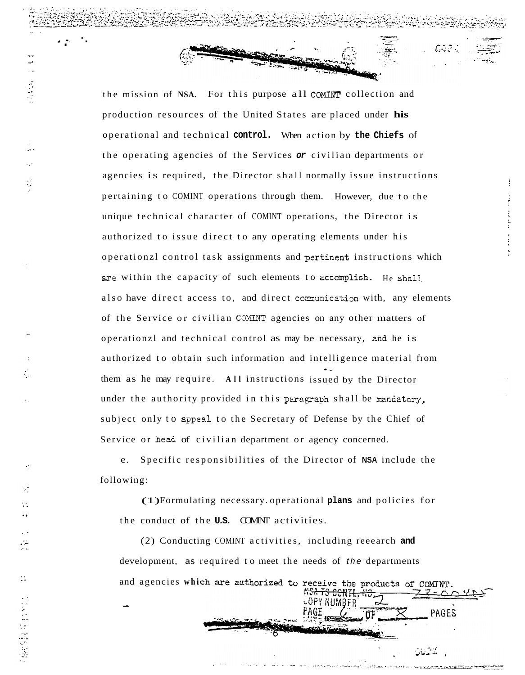the mission of NSA. For this purpose all COMINT collection and production resources of the United States are placed under his operational and technical control. When action by the Chiefs of the operating agencies of the Services or civilian departments or agencies is required, the Director shall normally issue instructions pertaining to COMINT operations through them. However, due to the unique technical character of COMINT operations, the Director is authorized to issue direct to any operating elements under his operationzl control task assignments and pertinent instructions which are within the capacity of such elements to accomplish. He shall also have direct access to, and direct communication with, any elements of the Service or civilian COMINT agencies on any other matters of operationzl and technical control as may be necessary, and he is authorized to obtain such information and intelligence material from them as he may require. All instructions issued by the Director under the authority provided in this paragraph shall be mandatory, subject only to appeal to the Secretary of Defense by the Chief of Service or head of civilian department or agency concerned.

e. Specific responsibilities of the Director of NSA include the following:

(1) Formulating necessary operational plans and policies for the conduct of the **U.S.** COMINT activities.

(2) Conducting COMINT activities, including reeearch and development, as required to meet the needs of the departments and agencies which are authorized to receive the products of COMINT.

∪OPY NUMBER

PAGES

لأكملك

 $\sim$ 

 $\ddot{\phantom{a}}$ 

 $\mathcal{L}_{\mathcal{F}}$ 

 $\frac{1}{2}$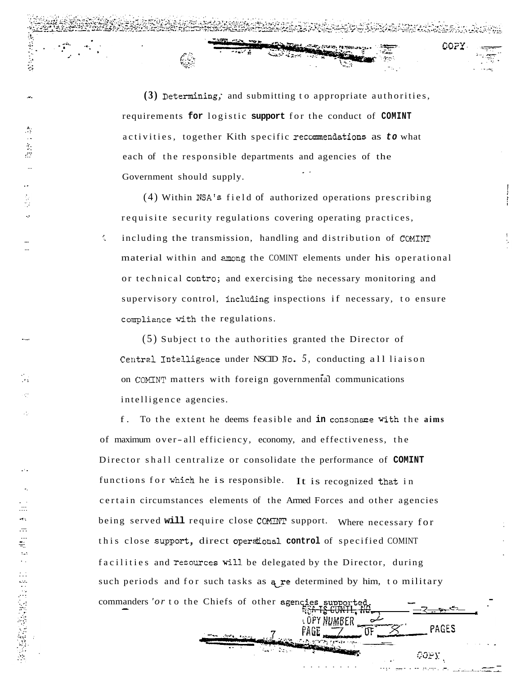$(3)$  Determining; and submitting to appropriate authorities. requirements for logistic support for the conduct of COMINT activities, together Kith specific recommendations as to what each of the responsible departments and agencies of the Government should supply.

 $\mathbb{C}$  :

**Tu File William** 

COPY

(4) Within NSA's field of authorized operations prescribing requisite security regulations covering operating practices, including the transmission, handling and distribution of COMINT material within and among the COMINT elements under his operational or technical contro; and exercising the necessary monitoring and supervisory control, including inspections if necessary, to ensure compliance with the regulations.

 $(5)$  Subject to the authorities granted the Director of Central Intelligence under NSCID No. 5, conducting all liaison on COMINT matters with foreign governmental communications intelligence agencies.

 $f<sub>1</sub>$ To the extent he deems feasible and in consonance with the aims of maximum over-all efficiency, economy, and effectiveness, the Director shall centralize or consolidate the performance of COMINT functions for which he is responsible. It is recognized that in certain circumstances elements of the Armed Forces and other agencies being served will require close COMINT support. Where necessary for this close support, direct operational control of specified COMINT facilities and resources will be delegated by the Director, during such periods and for such tasks as a re determined by him, to military commanders 'or to the Chiefs of other agencies supporte ے۔

OPY NUMBER

PAGES

COPY